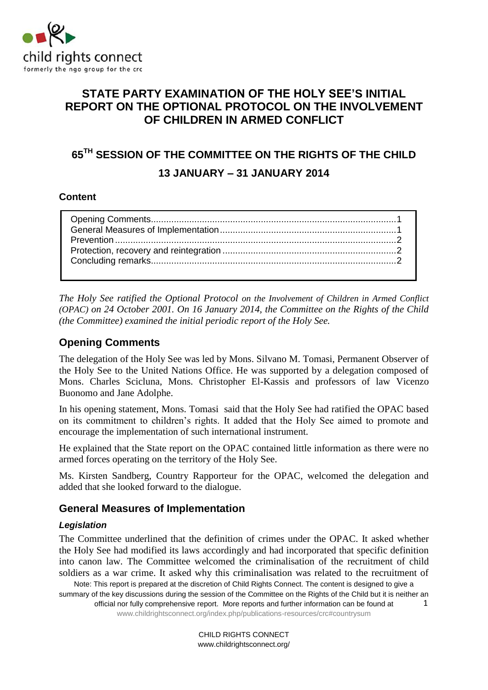

# **STATE PARTY EXAMINATION OF THE HOLY SEE'S INITIAL REPORT ON THE OPTIONAL PROTOCOL ON THE INVOLVEMENT OF CHILDREN IN ARMED CONFLICT**

# **65TH SESSION OF THE COMMITTEE ON THE RIGHTS OF THE CHILD 13 JANUARY – 31 JANUARY 2014**

#### **Content**

*The Holy See ratified the Optional Protocol on the Involvement of Children in Armed Conflict (OPAC) on 24 October 2001. On 16 January 2014, the Committee on the Rights of the Child (the Committee) examined the initial periodic report of the Holy See.* 

#### <span id="page-0-0"></span>**Opening Comments**

The delegation of the Holy See was led by Mons. Silvano M. Tomasi, Permanent Observer of the Holy See to the United Nations Office. He was supported by a delegation composed of Mons. Charles Scicluna, Mons. Christopher El-Kassis and professors of law Vicenzo Buonomo and Jane Adolphe.

In his opening statement, Mons. Tomasi said that the Holy See had ratified the OPAC based on its commitment to children's rights. It added that the Holy See aimed to promote and encourage the implementation of such international instrument.

He explained that the State report on the OPAC contained little information as there were no armed forces operating on the territory of the Holy See.

Ms. Kirsten Sandberg, Country Rapporteur for the OPAC, welcomed the delegation and added that she looked forward to the dialogue.

#### <span id="page-0-1"></span>**General Measures of Implementation**

#### *Legislation*

The Committee underlined that the definition of crimes under the OPAC. It asked whether the Holy See had modified its laws accordingly and had incorporated that specific definition into canon law. The Committee welcomed the criminalisation of the recruitment of child soldiers as a war crime. It asked why this criminalisation was related to the recruitment of

Note: This report is prepared at the discretion of Child Rights Connect. The content is designed to give a summary of the key discussions during the session of the Committee on the Rights of the Child but it is neither an official nor fully comprehensive report. More reports and further information can be found at 1

[www.childrightsconnect.org/index.php/publications-resources/crc#countrysum](http://www.childrightsconnect.org/index.php/publications-resources/crc#countrysum)

CHILD RIGHTS CONNECT www.childrightsconnect.org/